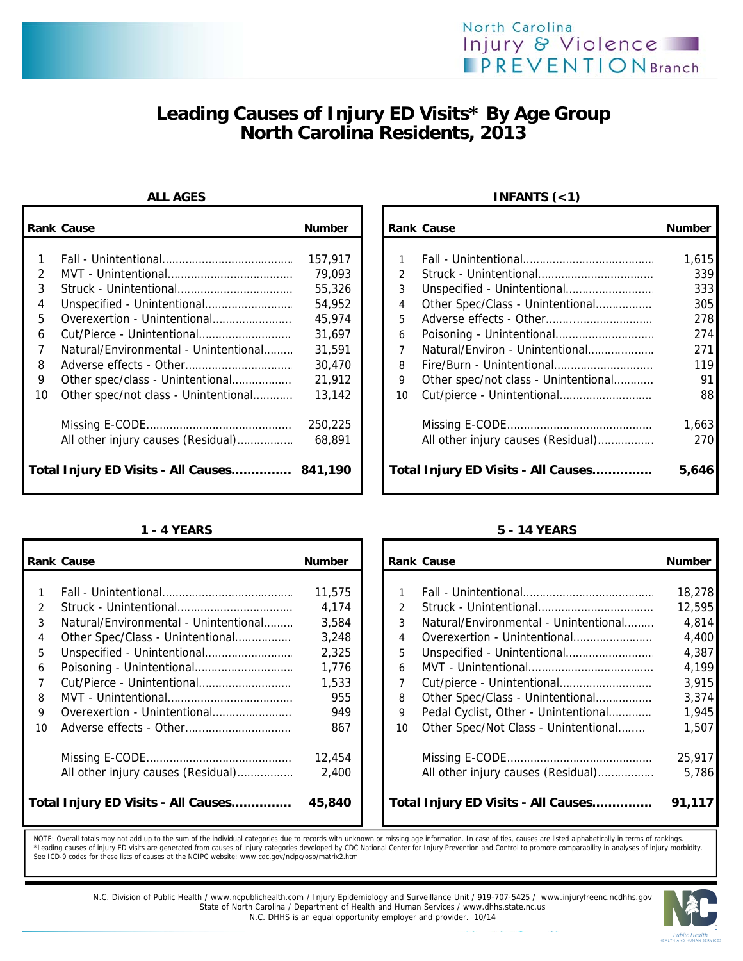## North Carolina Injury & Violence **IPREVENTIONBranch**

# **Leading Causes of Injury ED Visits\* By Age Group North Carolina Residents, 2013**

|               | <b>Rank Cause</b>                           | <b>Number</b> |               | <b>Rank Cause</b>                    | <b>Number</b> |
|---------------|---------------------------------------------|---------------|---------------|--------------------------------------|---------------|
|               |                                             |               |               |                                      |               |
|               |                                             | 157.917       |               |                                      | 1.615         |
| $\mathcal{P}$ |                                             | 79,093        | $\mathcal{P}$ |                                      | 339           |
| 3             |                                             | 55,326        |               |                                      | 333           |
| 4             |                                             | 54,952        | 4             | Other Spec/Class - Unintentional     | 305           |
| 5.            | Overexertion - Unintentional                | 45,974        | 5.            |                                      | 278           |
| 6             |                                             | 31,697        | 6             |                                      | 274           |
|               | Natural/Environmental - Unintentional       | 31,591        |               | Natural/Environ - Unintentional      | 271           |
| 8             |                                             | 30,470        | 8             |                                      | 119           |
| 9             | Other spec/class - Unintentional            | 21,912        | 9             | Other spec/not class - Unintentional | 91            |
| 10            | Other spec/not class - Unintentional        | 13,142        | 10            |                                      | 88            |
|               |                                             | 250,225       |               |                                      | 1,663         |
|               | All other injury causes (Residual)          | 68,891        |               | All other injury causes (Residual)   | 270           |
|               | Total Injury ED Visits - All Causes 841,190 |               |               | Total Injury ED Visits - All Causes  | 5,646         |

## **ALL AGES INFANTS (<1)**

| Cause                                 | <b>Number</b> |    | Rank Cause                           | <b>Number</b> |
|---------------------------------------|---------------|----|--------------------------------------|---------------|
|                                       |               |    |                                      |               |
|                                       | 157.917       |    |                                      | 1,615         |
|                                       | 79.093        |    |                                      | 339           |
|                                       | 55,326        | 3  |                                      | 333           |
| Unspecified - Unintentional           | 54,952        | 4  | Other Spec/Class - Unintentional     | 305           |
| Overexertion - Unintentional          | 45,974        | 5  |                                      | 278           |
| Cut/Pierce - Unintentional            | 31.697        | 6  |                                      | 274           |
| Natural/Environmental - Unintentional | 31,591        |    | Natural/Environ - Unintentional      | 271           |
|                                       | 30.470        | 8  |                                      | 119           |
| Other spec/class - Unintentional      | 21,912        | 9  | Other spec/not class - Unintentional | 91            |
| Other spec/not class - Unintentional  | 13.142        | 10 |                                      | 88            |
|                                       | 250,225       |    |                                      | 1,663         |
| All other injury causes (Residual)    | 68.891        |    | All other injury causes (Residual)   | 270           |
| Injury ED Visits - All Causes 841,190 |               |    | Total Injury ED Visits - All Causes  | 5,646         |

|               | <b>Rank Cause</b>                     | <b>Number</b> |               | <b>Rank Cause</b>                     | <b>Number</b> |
|---------------|---------------------------------------|---------------|---------------|---------------------------------------|---------------|
|               |                                       |               |               |                                       |               |
|               |                                       | 11,575        |               |                                       | 18,278        |
| $\mathcal{P}$ |                                       | 4,174         | $\mathcal{P}$ |                                       | 12,595        |
| 3             | Natural/Environmental - Unintentional | 3.584         | 3             | Natural/Environmental - Unintentional | 4,814         |
| 4             |                                       | 3,248         | 4             |                                       | 4,400         |
| 5             |                                       | 2,325         | 5             |                                       | 4,387         |
| 6             |                                       | 1,776         | 6             |                                       | 4,199         |
|               |                                       | 1,533         |               |                                       | 3,915         |
| 8             |                                       | 955           | 8             | Other Spec/Class - Unintentional      | 3,374         |
| 9             | Overexertion - Unintentional          | 949           | 9             | Pedal Cyclist, Other - Unintentional  | 1,945         |
| 10            |                                       | 867           | 10            | Other Spec/Not Class - Unintentional  | 1,507         |
|               |                                       | 12,454        |               |                                       | 25,917        |
|               | All other injury causes (Residual)    | 2,400         |               | All other injury causes (Residual)    | 5,786         |
|               | Total Injury ED Visits - All Causes   | 45,840        |               | Total Injury ED Visits - All Causes   | 91,117        |

## **1 - 4 YEARS 5 - 14 YEARS**

| Cause                                 | <b>Number</b> |               | <b>Rank Cause</b>                     | <b>Number</b> |
|---------------------------------------|---------------|---------------|---------------------------------------|---------------|
|                                       | 11,575        |               |                                       | 18,278        |
|                                       | 4.174         | $\mathcal{P}$ |                                       | 12,595        |
| Natural/Environmental - Unintentional | 3,584         | 3             | Natural/Environmental - Unintentional | 4,814         |
| Other Spec/Class - Unintentional      | 3,248         | 4             | Overexertion - Unintentional          | 4,400         |
| Unspecified - Unintentional           | 2,325         | 5             |                                       | 4,387         |
|                                       | 1,776         | 6             |                                       | 4,199         |
| Cut/Pierce - Unintentional            | 1,533         |               |                                       | 3,915         |
|                                       | 955           | 8             | Other Spec/Class - Unintentional      | 3,374         |
| Overexertion - Unintentional          | 949           | 9             | Pedal Cyclist, Other - Unintentional  | 1,945         |
| Adverse effects - Other               | 867           | 10            | Other Spec/Not Class - Unintentional  | 1,507         |
|                                       | 12,454        |               |                                       | 25,917        |
| All other injury causes (Residual)    | 2.400         |               | All other injury causes (Residual)    | 5.786         |
| Injury ED Visits - All Causes         | 45,840        |               | Total Injury ED Visits - All Causes   | 91,117        |

NOTE: Overall totals may not add up to the sum of the individual categories due to records with unknown or missing age information. In case of ties, causes are listed alphabetically in terms of rankings.<br>\*Leading causes of



N.C. Division of Public Health / www.ncpublichealth.com / Injury Epidemiology and Surveillance Unit / 919-707-5425 / www.injuryfreenc.ncdhhs.gov<br>State of North Carolina / Department of Health and Human Services / www.dhhs. N.C. DHHS is an equal opportunity employer and provider. 10/14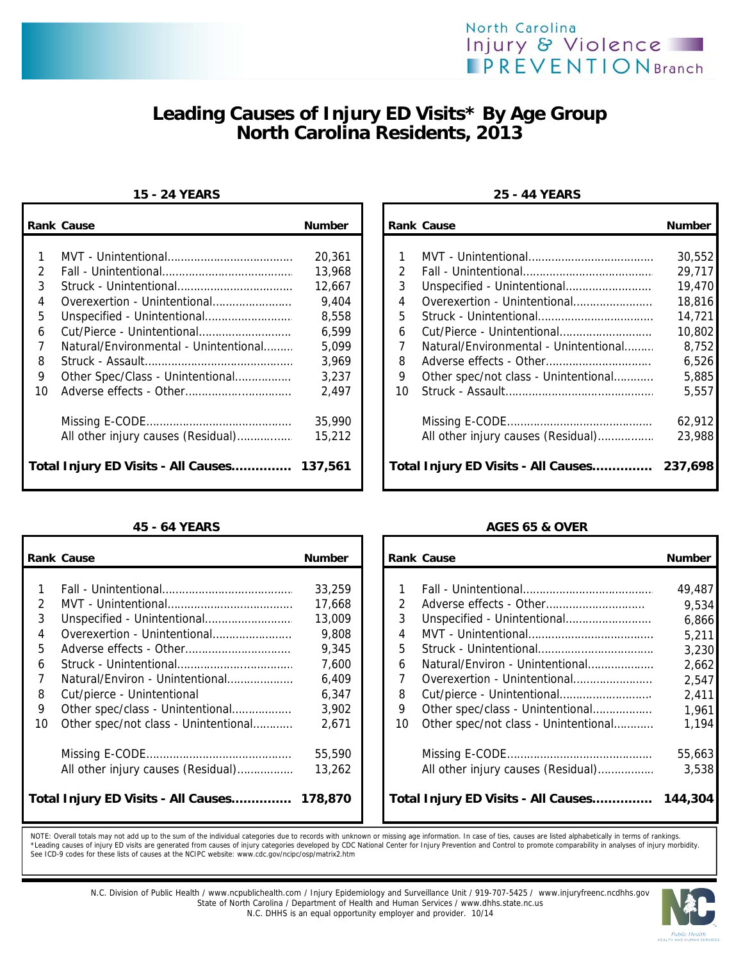

# **Leading Causes of Injury ED Visits\* By Age Group North Carolina Residents, 2013**

### **15 - 24 YEARS 25 - 44 YEARS**

|    | <b>Rank Cause</b>                           | <b>Number</b> |    | <b>Rank Cause</b>                           | <b>Number</b> |
|----|---------------------------------------------|---------------|----|---------------------------------------------|---------------|
|    |                                             |               |    |                                             |               |
|    |                                             | 20,361        |    |                                             | 30,552        |
| 2  |                                             | 13,968        |    |                                             | 29.717        |
| 3  |                                             | 12,667        | 3  |                                             | 19,470        |
| 4  | Overexertion - Unintentional                | 9.404         | 4  | Overexertion - Unintentional                | 18,816        |
| 5. |                                             | 8,558         | 5. |                                             | 14,721        |
| 6  |                                             | 6,599         | 6  |                                             | 10,802        |
|    | Natural/Environmental - Unintentional       | 5,099         |    | Natural/Environmental - Unintentional       | 8,752         |
| 8  |                                             | 3,969         | 8  |                                             | 6,526         |
| 9  |                                             | 3,237         | 9  | Other spec/not class - Unintentional        | 5,885         |
| 10 |                                             | 2,497         | 10 |                                             | 5.557         |
|    |                                             | 35,990        |    |                                             | 62,912        |
|    |                                             | 15,212        |    | All other injury causes (Residual)          | 23,988        |
|    | Total Injury ED Visits - All Causes 137,561 |               |    | Total Injury ED Visits - All Causes 237,698 |               |

|               | <b>Rank Cause</b>                           | <b>Number</b> |    | <b>Rank Cause</b>                    | <b>Number</b> |
|---------------|---------------------------------------------|---------------|----|--------------------------------------|---------------|
|               |                                             |               |    |                                      |               |
|               |                                             | 33,259        |    |                                      | 49,487        |
| $\mathcal{P}$ |                                             | 17,668        |    |                                      | 9,534         |
| 3             |                                             | 13,009        | 3  |                                      | 6.866         |
| 4             | Overexertion - Unintentional                | 9,808         | 4  |                                      | 5,211         |
| 5             |                                             | 9,345         | 5. |                                      | 3,230         |
| 6             |                                             | 7,600         | 6  | Natural/Environ - Unintentional      | 2,662         |
|               | Natural/Environ - Unintentional             | 6,409         |    | Overexertion - Unintentional         | 2.547         |
| 8             | Cut/pierce - Unintentional                  | 6,347         | 8  |                                      | 2,411         |
| 9             | Other spec/class - Unintentional            | 3,902         | 9  | Other spec/class - Unintentional     | 1.961         |
| 10            | Other spec/not class - Unintentional        | 2,671         | 10 | Other spec/not class - Unintentional | 1.194         |
|               |                                             | 55,590        |    |                                      | 55,663        |
|               | All other injury causes (Residual)          | 13,262        |    | All other injury causes (Residual)   | 3,538         |
|               | Total Injury ED Visits - All Causes 178,870 |               |    | Total Injury ED Visits - All Causes  | 144,304       |

|    | ank Cause                                  | <b>Number</b> |               | <b>Rank Cause</b>                     | <b>Number</b> |
|----|--------------------------------------------|---------------|---------------|---------------------------------------|---------------|
|    |                                            |               |               |                                       |               |
| 1. |                                            | 20,361        |               |                                       | 30,552        |
| 2  |                                            | 13,968        | $\mathcal{P}$ |                                       | 29,717        |
| 3  |                                            | 12,667        | 3             |                                       | 19,470        |
| 4  | Overexertion - Unintentional               | 9,404         | 4             | Overexertion - Unintentional          | 18,816        |
| 5  |                                            | 8,558         | 5.            |                                       | 14.721        |
| 6. |                                            | 6.599         | 6             |                                       | 10,802        |
| 7  | Natural/Environmental - Unintentional      | 5,099         |               | Natural/Environmental - Unintentional | 8,752         |
| 8. |                                            | 3,969         | 8             |                                       | 6,526         |
| 9  | Other Spec/Class - Unintentional           | 3,237         | 9             | Other spec/not class - Unintentional  | 5,885         |
| ١O |                                            | 2,497         | 10            |                                       | 5.557         |
|    |                                            |               |               |                                       |               |
|    |                                            | 35,990        |               |                                       | 62,912        |
|    | All other injury causes (Residual)         | 15,212        |               | All other injury causes (Residual)    | 23,988        |
|    | otal Injury ED Visits - All Causes 137,561 |               |               | Total Injury ED Visits - All Causes   | 237,698       |

### **45 - 64 YEARS AGES 65 & OVER**

|    | ank Cause                                  | <b>Number</b> |               | <b>Rank Cause</b>                    | <b>Number</b> |
|----|--------------------------------------------|---------------|---------------|--------------------------------------|---------------|
|    |                                            |               |               |                                      |               |
| 1. |                                            | 33,259        |               |                                      | 49,487        |
| 2  |                                            | 17,668        | $\mathcal{P}$ |                                      | 9,534         |
| 3  |                                            | 13,009        | 3             |                                      | 6,866         |
| 4  | Overexertion - Unintentional               | 9,808         | 4             |                                      | 5,211         |
| 5  |                                            | 9,345         | 5.            |                                      | 3,230         |
| 6. |                                            | 7,600         | 6             | Natural/Environ - Unintentional      | 2,662         |
| 7  | Natural/Environ - Unintentional            | 6,409         |               | Overexertion - Unintentional         | 2,547         |
| 8. | Cut/pierce - Unintentional                 | 6,347         | 8             |                                      | 2,411         |
| 9  | Other spec/class - Unintentional           | 3,902         | 9             | Other spec/class - Unintentional     | 1,961         |
| 10 | Other spec/not class - Unintentional       | 2,671         | 10            | Other spec/not class - Unintentional | 1,194         |
|    |                                            | 55,590        |               |                                      | 55,663        |
|    | All other injury causes (Residual)         | 13.262        |               | All other injury causes (Residual)   | 3.538         |
|    | otal Injury ED Visits - All Causes 178,870 |               |               | Total Injury ED Visits - All Causes  | 144,304       |

NOTE: Overall totals may not add up to the sum of the individual categories due to records with unknown or missing age information. In case of ties, causes are listed alphabetically in terms of rankings. \*Leading causes of injury ED visits are generated from causes of injury categories developed by CDC National Center for Injury Prevention and Control to promote comparability in analyses of injury morbidity.<br>See ICD-9 code